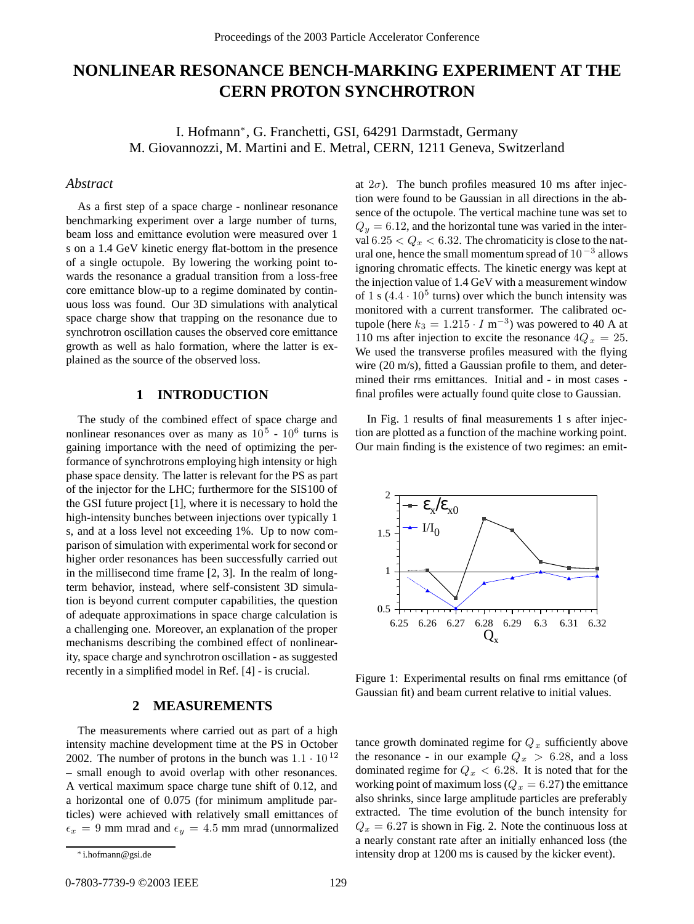# **NONLINEAR RESONANCE BENCH-MARKING EXPERIMENT AT THE CERN PROTON SYNCHROTRON**

I. Hofmann∗, G. Franchetti, GSI, 64291 Darmstadt, Germany M. Giovannozzi, M. Martini and E. Metral, CERN, 1211 Geneva, Switzerland

#### *Abstract*

As a first step of a space charge - nonlinear resonance benchmarking experiment over a large number of turns, beam loss and emittance evolution were measured over 1 s on a 1.4 GeV kinetic energy flat-bottom in the presence of a single octupole. By lowering the working point towards the resonance a gradual transition from a loss-free core emittance blow-up to a regime dominated by continuous loss was found. Our 3D simulations with analytical space charge show that trapping on the resonance due to synchrotron oscillation causes the observed core emittance growth as well as halo formation, where the latter is explained as the source of the observed loss.

# **1 INTRODUCTION**

The study of the combined effect of space charge and nonlinear resonances over as many as  $10^5 \text{ - } 10^6$  turns is gaining importance with the need of optimizing the performance of synchrotrons employing high intensity or high phase space density. The latter is relevant for the PS as part of the injector for the LHC; furthermore for the SIS100 of the GSI future project [1], where it is necessary to hold the high-intensity bunches between injections over typically 1 s, and at a loss level not exceeding 1%. Up to now comparison of simulation with experimental work for second or higher order resonances has been successfully carried out in the millisecond time frame [2, 3]. In the realm of longterm behavior, instead, where self-consistent 3D simulation is beyond current computer capabilities, the question of adequate approximations in space charge calculation is a challenging one. Moreover, an explanation of the proper mechanisms describing the combined effect of nonlinearity, space charge and synchrotron oscillation - as suggested recently in a simplified model in Ref. [4] - is crucial.

#### **2 MEASUREMENTS**

The measurements where carried out as part of a high intensity machine development time at the PS in October 2002. The number of protons in the bunch was  $1.1 \cdot 10^{12}$ – small enough to avoid overlap with other resonances. A vertical maximum space charge tune shift of 0.12, and a horizontal one of 0.075 (for minimum amplitude particles) were achieved with relatively small emittances of  $\epsilon_x = 9$  mm mrad and  $\epsilon_y = 4.5$  mm mrad (unnormalized

monitored with a current transformer. The calibrated octupole (here  $k_3 = 1.215 \cdot I \text{ m}^{-3}$ ) was powered to 40 A at 110 ms after injection to excite the resonance  $4Q_x = 25$ . We used the transverse profiles measured with the flying wire (20 m/s), fitted a Gaussian profile to them, and determined their rms emittances. Initial and - in most cases final profiles were actually found quite close to Gaussian. In Fig. 1 results of final measurements 1 s after injection are plotted as a function of the machine working point. Our main finding is the existence of two regimes: an emit-

at  $2\sigma$ ). The bunch profiles measured 10 ms after injection were found to be Gaussian in all directions in the absence of the octupole. The vertical machine tune was set to  $Q_y = 6.12$ , and the horizontal tune was varied in the interval  $6.25 < Q_x < 6.32$ . The chromaticity is close to the natural one, hence the small momentum spread of 10 *<sup>−</sup>*<sup>3</sup> allows ignoring chromatic effects. The kinetic energy was kept at the injection value of 1.4 GeV with a measurement window of 1 s  $(4.4 \cdot 10^5$  turns) over which the bunch intensity was



Figure 1: Experimental results on final rms emittance (of Gaussian fit) and beam current relative to initial values.

tance growth dominated regime for  $Q_x$  sufficiently above the resonance - in our example  $Q_x > 6.28$ , and a loss dominated regime for Q*<sup>x</sup>* < 6.28. It is noted that for the working point of maximum loss  $(Q_x = 6.27)$  the emittance also shrinks, since large amplitude particles are preferably extracted. The time evolution of the bunch intensity for  $Q_x = 6.27$  is shown in Fig. 2. Note the continuous loss at a nearly constant rate after an initially enhanced loss (the intensity drop at 1200 ms is caused by the kicker event).

<sup>∗</sup> i.hofmann@gsi.de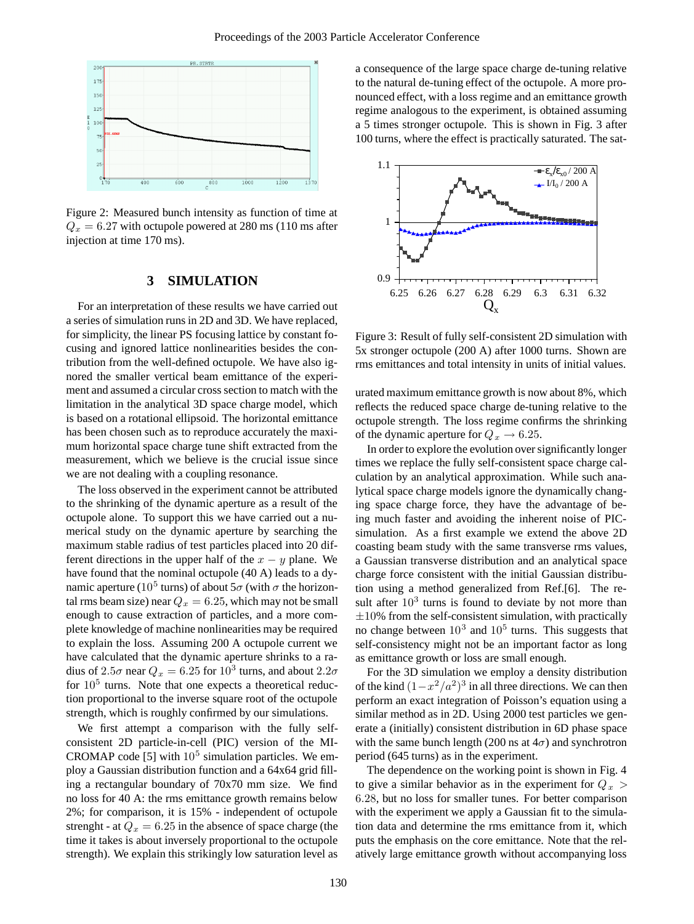

Figure 2: Measured bunch intensity as function of time at  $Q_x = 6.27$  with octupole powered at 280 ms (110 ms after injection at time 170 ms).

## **3 SIMULATION**

For an interpretation of these results we have carried out a series of simulation runs in 2D and 3D. We have replaced, for simplicity, the linear PS focusing lattice by constant focusing and ignored lattice nonlinearities besides the contribution from the well-defined octupole. We have also ignored the smaller vertical beam emittance of the experiment and assumed a circular cross section to match with the limitation in the analytical 3D space charge model, which is based on a rotational ellipsoid. The horizontal emittance has been chosen such as to reproduce accurately the maximum horizontal space charge tune shift extracted from the measurement, which we believe is the crucial issue since we are not dealing with a coupling resonance.

The loss observed in the experiment cannot be attributed to the shrinking of the dynamic aperture as a result of the octupole alone. To support this we have carried out a numerical study on the dynamic aperture by searching the maximum stable radius of test particles placed into 20 different directions in the upper half of the  $x - y$  plane. We have found that the nominal octupole (40 A) leads to a dynamic aperture (10<sup>5</sup> turns) of about  $5\sigma$  (with  $\sigma$  the horizontal rms beam size) near  $Q_x = 6.25$ , which may not be small enough to cause extraction of particles, and a more complete knowledge of machine nonlinearities may be required to explain the loss. Assuming 200 A octupole current we have calculated that the dynamic aperture shrinks to a radius of  $2.5\sigma$  near  $Q_x = 6.25$  for  $10^3$  turns, and about  $2.2\sigma$ for  $10<sup>5</sup>$  turns. Note that one expects a theoretical reduction proportional to the inverse square root of the octupole strength, which is roughly confirmed by our simulations.

We first attempt a comparison with the fully selfconsistent 2D particle-in-cell (PIC) version of the MI-CROMAP code [5] with  $10<sup>5</sup>$  simulation particles. We employ a Gaussian distribution function and a 64x64 grid filling a rectangular boundary of 70x70 mm size. We find no loss for 40 A: the rms emittance growth remains below 2%; for comparison, it is 15% - independent of octupole strenght - at  $Q_x = 6.25$  in the absence of space charge (the time it takes is about inversely proportional to the octupole strength). We explain this strikingly low saturation level as a consequence of the large space charge de-tuning relative to the natural de-tuning effect of the octupole. A more pronounced effect, with a loss regime and an emittance growth regime analogous to the experiment, is obtained assuming a 5 times stronger octupole. This is shown in Fig. 3 after 100 turns, where the effect is practically saturated. The sat-



Figure 3: Result of fully self-consistent 2D simulation with 5x stronger octupole (200 A) after 1000 turns. Shown are rms emittances and total intensity in units of initial values.

urated maximum emittance growth is now about 8%, which reflects the reduced space charge de-tuning relative to the octupole strength. The loss regime confirms the shrinking of the dynamic aperture for  $Q_x \rightarrow 6.25$ .

In order to explore the evolution over significantly longer times we replace the fully self-consistent space charge calculation by an analytical approximation. While such analytical space charge models ignore the dynamically changing space charge force, they have the advantage of being much faster and avoiding the inherent noise of PICsimulation. As a first example we extend the above 2D coasting beam study with the same transverse rms values, a Gaussian transverse distribution and an analytical space charge force consistent with the initial Gaussian distribution using a method generalized from Ref.[6]. The result after  $10<sup>3</sup>$  turns is found to deviate by not more than  $\pm 10$ % from the self-consistent simulation, with practically no change between  $10^3$  and  $10^5$  turns. This suggests that self-consistency might not be an important factor as long as emittance growth or loss are small enough.

For the 3D simulation we employ a density distribution of the kind  $(1-x^2/a^2)^3$  in all three directions. We can then perform an exact integration of Poisson's equation using a similar method as in 2D. Using 2000 test particles we generate a (initially) consistent distribution in 6D phase space with the same bunch length (200 ns at  $4\sigma$ ) and synchrotron period (645 turns) as in the experiment.

The dependence on the working point is shown in Fig. 4 to give a similar behavior as in the experiment for  $Q_x$ 6.28, but no loss for smaller tunes. For better comparison with the experiment we apply a Gaussian fit to the simulation data and determine the rms emittance from it, which puts the emphasis on the core emittance. Note that the relatively large emittance growth without accompanying loss